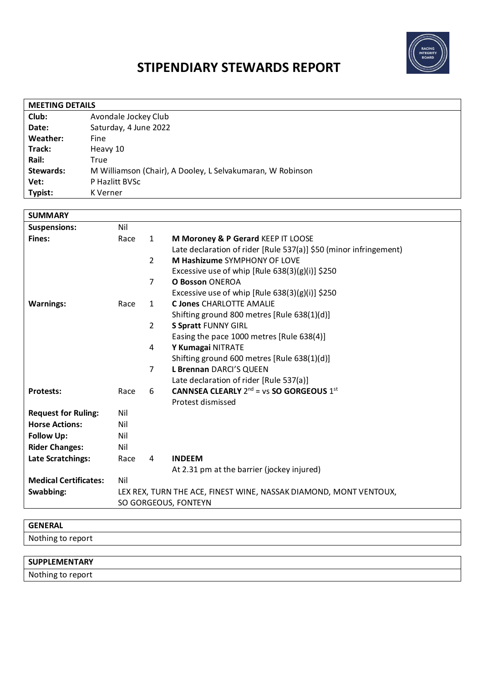

# **STIPENDIARY STEWARDS REPORT**

| <b>MEETING DETAILS</b> |                                                            |  |  |  |
|------------------------|------------------------------------------------------------|--|--|--|
| Club:                  | Avondale Jockey Club                                       |  |  |  |
| Date:                  | Saturday, 4 June 2022                                      |  |  |  |
| Weather:               | Fine                                                       |  |  |  |
| Track:                 | Heavy 10                                                   |  |  |  |
| Rail:                  | True                                                       |  |  |  |
| Stewards:              | M Williamson (Chair), A Dooley, L Selvakumaran, W Robinson |  |  |  |
| Vet:                   | P Hazlitt BVSc                                             |  |  |  |
| Typist:                | K Verner                                                   |  |  |  |

| <b>SUMMARY</b>               |                                                                   |                |                                                                   |  |
|------------------------------|-------------------------------------------------------------------|----------------|-------------------------------------------------------------------|--|
| <b>Suspensions:</b>          | Nil                                                               |                |                                                                   |  |
| <b>Fines:</b>                | Race                                                              | $\mathbf{1}$   | M Moroney & P Gerard KEEP IT LOOSE                                |  |
|                              |                                                                   |                | Late declaration of rider [Rule 537(a)] \$50 (minor infringement) |  |
|                              |                                                                   | $\overline{2}$ | M Hashizume SYMPHONY OF LOVE                                      |  |
|                              |                                                                   |                | Excessive use of whip [Rule $638(3)(g)(i)$ ] \$250                |  |
|                              |                                                                   | $\overline{7}$ | <b>O Bosson ONEROA</b>                                            |  |
|                              |                                                                   |                | Excessive use of whip [Rule $638(3)(g)(i)$ ] \$250                |  |
| <b>Warnings:</b>             | Race                                                              | $\mathbf{1}$   | <b>C Jones CHARLOTTE AMALIE</b>                                   |  |
|                              |                                                                   |                | Shifting ground 800 metres [Rule 638(1)(d)]                       |  |
|                              |                                                                   | $\overline{2}$ | <b>S Spratt FUNNY GIRL</b>                                        |  |
|                              |                                                                   |                | Easing the pace 1000 metres [Rule 638(4)]                         |  |
|                              |                                                                   | 4              | Y Kumagai NITRATE                                                 |  |
|                              |                                                                   |                | Shifting ground 600 metres [Rule 638(1)(d)]                       |  |
|                              |                                                                   | $\overline{7}$ | L Brennan DARCI'S QUEEN                                           |  |
|                              |                                                                   |                | Late declaration of rider [Rule 537(a)]                           |  |
| <b>Protests:</b>             | Race                                                              | 6              | <b>CANNSEA CLEARLY</b> $2^{nd}$ = vs <b>SO GORGEOUS</b> $1^{st}$  |  |
|                              |                                                                   |                | Protest dismissed                                                 |  |
| <b>Request for Ruling:</b>   | Nil                                                               |                |                                                                   |  |
| <b>Horse Actions:</b>        | Nil                                                               |                |                                                                   |  |
| <b>Follow Up:</b>            | Nil                                                               |                |                                                                   |  |
| <b>Rider Changes:</b>        | Nil                                                               |                |                                                                   |  |
| Late Scratchings:            | Race                                                              | 4              | <b>INDEEM</b>                                                     |  |
|                              |                                                                   |                | At 2.31 pm at the barrier (jockey injured)                        |  |
| <b>Medical Certificates:</b> | Nil                                                               |                |                                                                   |  |
| Swabbing:                    | LEX REX, TURN THE ACE, FINEST WINE, NASSAK DIAMOND, MONT VENTOUX, |                |                                                                   |  |
|                              | SO GORGEOUS, FONTEYN                                              |                |                                                                   |  |
|                              |                                                                   |                |                                                                   |  |

| <b>GENERAL</b>       |  |
|----------------------|--|
| Nothing to report    |  |
|                      |  |
| <b>SUPPLEMENTARY</b> |  |
|                      |  |

Nothing to report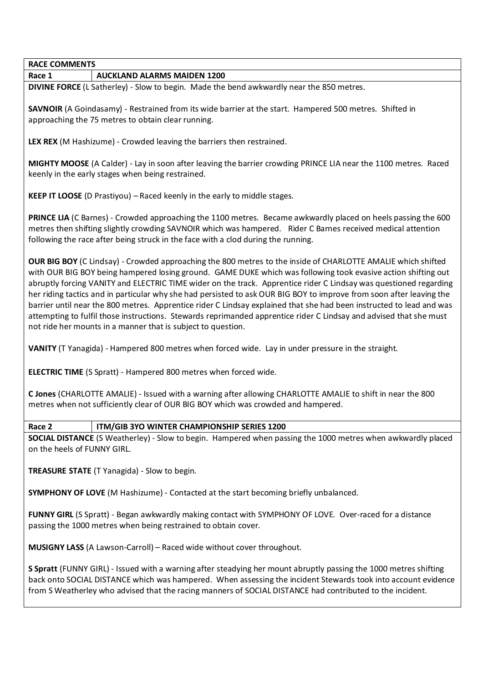## **RACE COMMENTS Race 1 AUCKLAND ALARMS MAIDEN 1200**

**DIVINE FORCE** (L Satherley) - Slow to begin. Made the bend awkwardly near the 850 metres.

**SAVNOIR** (A Goindasamy) - Restrained from its wide barrier at the start. Hampered 500 metres. Shifted in approaching the 75 metres to obtain clear running.

**LEX REX** (M Hashizume) - Crowded leaving the barriers then restrained.

**MIGHTY MOOSE** (A Calder) - Lay in soon after leaving the barrier crowding PRINCE LIA near the 1100 metres. Raced keenly in the early stages when being restrained.

**KEEP IT LOOSE** (D Prastiyou) – Raced keenly in the early to middle stages.

**PRINCE LIA** (C Barnes) - Crowded approaching the 1100 metres. Became awkwardly placed on heels passing the 600 metres then shifting slightly crowding SAVNOIR which was hampered. Rider C Barnes received medical attention following the race after being struck in the face with a clod during the running.

**OUR BIG BOY** (C Lindsay) - Crowded approaching the 800 metres to the inside of CHARLOTTE AMALIE which shifted with OUR BIG BOY being hampered losing ground. GAME DUKE which was following took evasive action shifting out abruptly forcing VANITY and ELECTRIC TIME wider on the track. Apprentice rider C Lindsay was questioned regarding her riding tactics and in particular why she had persisted to ask OUR BIG BOY to improve from soon after leaving the barrier until near the 800 metres. Apprentice rider C Lindsay explained that she had been instructed to lead and was attempting to fulfil those instructions. Stewards reprimanded apprentice rider C Lindsay and advised that she must not ride her mounts in a manner that is subject to question.

**VANITY** (T Yanagida) - Hampered 800 metres when forced wide. Lay in under pressure in the straight.

**ELECTRIC TIME** (S Spratt) - Hampered 800 metres when forced wide.

**C Jones** (CHARLOTTE AMALIE) - Issued with a warning after allowing CHARLOTTE AMALIE to shift in near the 800 metres when not sufficiently clear of OUR BIG BOY which was crowded and hampered.

#### **Race 2 ITM/GIB 3YO WINTER CHAMPIONSHIP SERIES 1200**

**SOCIAL DISTANCE** (S Weatherley) - Slow to begin. Hampered when passing the 1000 metres when awkwardly placed on the heels of FUNNY GIRL.

**TREASURE STATE** (T Yanagida) - Slow to begin.

**SYMPHONY OF LOVE** (M Hashizume) - Contacted at the start becoming briefly unbalanced.

**FUNNY GIRL** (S Spratt) - Began awkwardly making contact with SYMPHONY OF LOVE. Over-raced for a distance passing the 1000 metres when being restrained to obtain cover.

**MUSIGNY LASS** (A Lawson-Carroll) – Raced wide without cover throughout.

**S Spratt** (FUNNY GIRL) - Issued with a warning after steadying her mount abruptly passing the 1000 metres shifting back onto SOCIAL DISTANCE which was hampered. When assessing the incident Stewards took into account evidence from S Weatherley who advised that the racing manners of SOCIAL DISTANCE had contributed to the incident.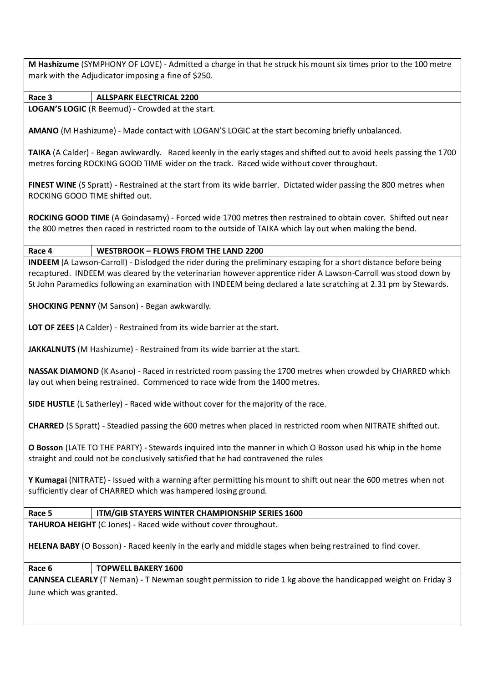**M Hashizume** (SYMPHONY OF LOVE) - Admitted a charge in that he struck his mount six times prior to the 100 metre mark with the Adjudicator imposing a fine of \$250.

**Race 3 ALLSPARK ELECTRICAL 2200 LOGAN'S LOGIC** (R Beemud) - Crowded at the start.

**AMANO** (M Hashizume) - Made contact with LOGAN'S LOGIC at the start becoming briefly unbalanced.

**TAIKA** (A Calder) - Began awkwardly. Raced keenly in the early stages and shifted out to avoid heels passing the 1700 metres forcing ROCKING GOOD TIME wider on the track. Raced wide without cover throughout.

**FINEST WINE** (S Spratt) - Restrained at the start from its wide barrier. Dictated wider passing the 800 metres when ROCKING GOOD TIME shifted out.

**ROCKING GOOD TIME** (A Goindasamy) - Forced wide 1700 metres then restrained to obtain cover. Shifted out near the 800 metres then raced in restricted room to the outside of TAIKA which lay out when making the bend.

**Race 4 WESTBROOK – FLOWS FROM THE LAND 2200**

**INDEEM** (A Lawson-Carroll) - Dislodged the rider during the preliminary escaping for a short distance before being recaptured. INDEEM was cleared by the veterinarian however apprentice rider A Lawson-Carroll was stood down by St John Paramedics following an examination with INDEEM being declared a late scratching at 2.31 pm by Stewards.

**SHOCKING PENNY** (M Sanson) - Began awkwardly.

**LOT OF ZEES** (A Calder) - Restrained from its wide barrier at the start.

**JAKKALNUTS** (M Hashizume) - Restrained from its wide barrier at the start.

**NASSAK DIAMOND** (K Asano) - Raced in restricted room passing the 1700 metres when crowded by CHARRED which lay out when being restrained. Commenced to race wide from the 1400 metres.

**SIDE HUSTLE** (L Satherley) - Raced wide without cover for the majority of the race.

**CHARRED** (S Spratt) - Steadied passing the 600 metres when placed in restricted room when NITRATE shifted out.

**O Bosson** (LATE TO THE PARTY) - Stewards inquired into the manner in which O Bosson used his whip in the home straight and could not be conclusively satisfied that he had contravened the rules

**Y Kumagai** (NITRATE) - Issued with a warning after permitting his mount to shift out near the 600 metres when not sufficiently clear of CHARRED which was hampered losing ground.

### **Race 5 ITM/GIB STAYERS WINTER CHAMPIONSHIP SERIES 1600**

**TAHUROA HEIGHT** (C Jones) - Raced wide without cover throughout.

**HELENA BABY** (O Bosson) - Raced keenly in the early and middle stages when being restrained to find cover.

### **Race 6 TOPWELL BAKERY 1600**

**CANNSEA CLEARLY** (T Neman) **-** T Newman sought permission to ride 1 kg above the handicapped weight on Friday 3 June which was granted.